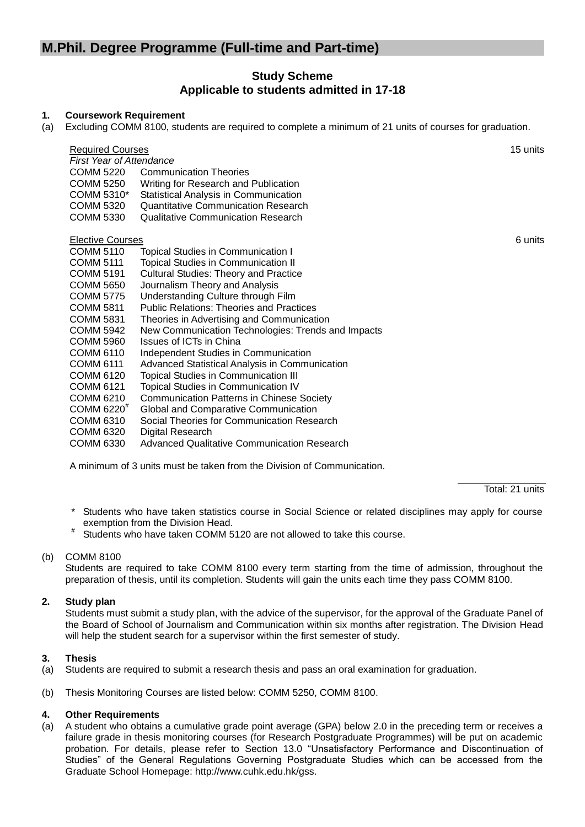# **M.Phil. Degree Programme (Full-time and Part-time)**

### **Study Scheme Applicable to students admitted in 17-18**

#### **1. Coursework Requirement**

(a) Excluding COMM 8100, students are required to complete a minimum of 21 units of courses for graduation.

| <b>Required Courses</b><br><b>First Year of Attendance</b> | 15 units                                           |         |
|------------------------------------------------------------|----------------------------------------------------|---------|
| COMM 5220                                                  | <b>Communication Theories</b>                      |         |
| COMM 5250                                                  | Writing for Research and Publication               |         |
| COMM 5310*                                                 | Statistical Analysis in Communication              |         |
| COMM 5320                                                  | Quantitative Communication Research                |         |
| COMM 5330                                                  | Qualitative Communication Research                 |         |
| <b>Elective Courses</b>                                    |                                                    | 6 units |
| <b>COMM 5110</b>                                           | <b>Topical Studies in Communication I</b>          |         |
| COMM 5111                                                  | Topical Studies in Communication II                |         |
| <b>COMM 5191</b>                                           | <b>Cultural Studies: Theory and Practice</b>       |         |
| <b>COMM 5650</b>                                           | Journalism Theory and Analysis                     |         |
| <b>COMM 5775</b>                                           | Understanding Culture through Film                 |         |
| <b>COMM 5811</b>                                           | <b>Public Relations: Theories and Practices</b>    |         |
| <b>COMM 5831</b>                                           | Theories in Advertising and Communication          |         |
| COMM 5942                                                  | New Communication Technologies: Trends and Impacts |         |
| COMM 5960                                                  | Issues of ICTs in China                            |         |
| COMM 6110                                                  | Independent Studies in Communication               |         |
| COMM 6111                                                  | Advanced Statistical Analysis in Communication     |         |
| COMM 6120                                                  | Topical Studies in Communication III               |         |
| COMM 6121                                                  | Topical Studies in Communication IV                |         |
| <b>COMM 6210</b>                                           | <b>Communication Patterns in Chinese Society</b>   |         |
| COMM 6220 <sup>#</sup>                                     | Global and Comparative Communication               |         |
| <b>COMM 6310</b>                                           | Social Theories for Communication Research         |         |
| COMM 6320                                                  | Digital Research                                   |         |
| COMM 6330                                                  | Advanced Qualitative Communication Research        |         |
|                                                            |                                                    |         |

A minimum of 3 units must be taken from the Division of Communication.

Total: 21 units

- \* Students who have taken statistics course in Social Science or related disciplines may apply for course exemption from the Division Head.
- # Students who have taken COMM 5120 are not allowed to take this course.

### (b) COMM 8100

Students are required to take COMM 8100 every term starting from the time of admission, throughout the preparation of thesis, until its completion. Students will gain the units each time they pass COMM 8100.

#### **2. Study plan**

Students must submit a study plan, with the advice of the supervisor, for the approval of the Graduate Panel of the Board of School of Journalism and Communication within six months after registration. The Division Head will help the student search for a supervisor within the first semester of study.

#### **3. Thesis**

- (a) Students are required to submit a research thesis and pass an oral examination for graduation.
- (b) Thesis Monitoring Courses are listed below: COMM 5250, COMM 8100.

#### **4. Other Requirements**

(a) A student who obtains a cumulative grade point average (GPA) below 2.0 in the preceding term or receives a failure grade in thesis monitoring courses (for Research Postgraduate Programmes) will be put on academic probation. For details, please refer to Section 13.0 "Unsatisfactory Performance and Discontinuation of Studies" of the General Regulations Governing Postgraduate Studies which can be accessed from the Graduate School Homepage: http://www.cuhk.edu.hk/gss.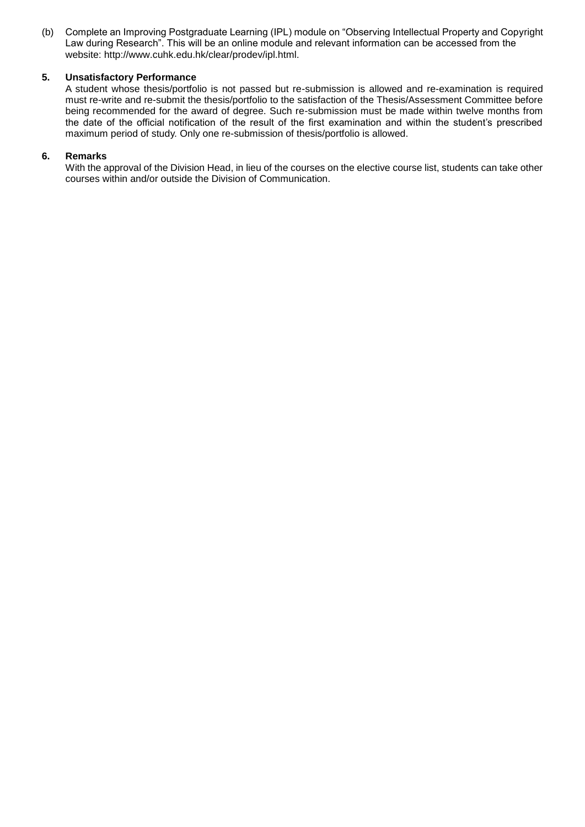(b) Complete an Improving Postgraduate Learning (IPL) module on "Observing Intellectual Property and Copyright Law during Research". This will be an online module and relevant information can be accessed from the website: http://www.cuhk.edu.hk/clear/prodev/ipl.html.

#### **5. Unsatisfactory Performance**

A student whose thesis/portfolio is not passed but re-submission is allowed and re-examination is required must re-write and re-submit the thesis/portfolio to the satisfaction of the Thesis/Assessment Committee before being recommended for the award of degree. Such re-submission must be made within twelve months from the date of the official notification of the result of the first examination and within the student's prescribed maximum period of study. Only one re-submission of thesis/portfolio is allowed.

#### **6. Remarks**

With the approval of the Division Head, in lieu of the courses on the elective course list, students can take other courses within and/or outside the Division of Communication.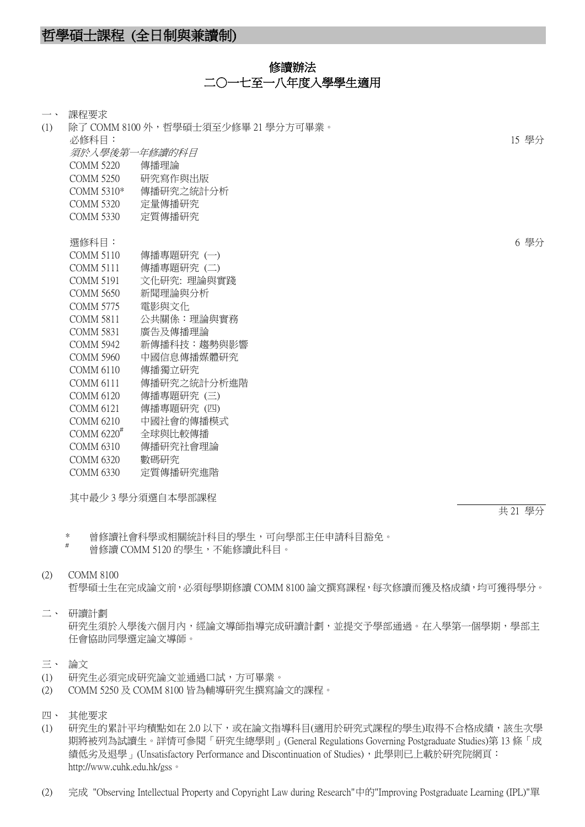### 修讀辦法 二〇一七至一八年度入學學生滴用

| $\overline{\phantom{a}}$ | 課程要求                     |                                     |       |
|--------------------------|--------------------------|-------------------------------------|-------|
| (1)                      |                          | 除了 COMM 8100 外,哲學碩士須至少修畢 21 學分方可畢業。 |       |
|                          | 必修科目:                    |                                     | 15 學分 |
|                          | 須於入學後第一年修讀的科目            |                                     |       |
|                          | <b>COMM 5220</b>         | 傳播理論                                |       |
|                          | <b>COMM 5250</b>         | 研究寫作與出版                             |       |
|                          | COMM 5310*               | 傳播研究之統計分析                           |       |
|                          | <b>COMM 5320</b>         | 定量傳播研究                              |       |
|                          | <b>COMM 5330</b>         | 定質傳播研究                              |       |
|                          |                          |                                     |       |
|                          | 選修科目:                    |                                     | 6 學分  |
|                          | <b>COMM 5110</b>         | 傳播專題研究 (一)                          |       |
|                          | <b>COMM 5111</b>         | 傳播專題研究(二)                           |       |
|                          | <b>COMM 5191</b>         | 文化研究: 理論與實踐                         |       |
|                          | <b>COMM 5650</b>         | 新聞理論與分析                             |       |
|                          | <b>COMM 5775</b>         | 電影與文化                               |       |
|                          | <b>COMM 5811</b>         | 公共關係:理論與實務                          |       |
|                          | <b>COMM 5831</b>         | 廣告及傳播理論                             |       |
|                          | <b>COMM 5942</b>         | 新傳播科技:趨勢與影響                         |       |
|                          | <b>COMM 5960</b>         | 中國信息傳播媒體研究                          |       |
|                          | <b>COMM 6110</b>         | 傳播獨立研究                              |       |
|                          | <b>COMM 6111</b>         | 傳播研究之統計分析進階                         |       |
|                          | COMM 6120                | 傳播專題研究 (三)                          |       |
|                          | <b>COMM 6121</b>         | 傳播專題研究 (四)                          |       |
|                          | <b>COMM 6210</b>         | 中國社會的傳播模式                           |       |
|                          | COMM $6220$ <sup>#</sup> | 全球與比較傳播                             |       |
|                          | <b>COMM 6310</b>         | 傳播研究社會理論                            |       |
|                          | <b>COMM 6320</b>         | 數碼研究                                |       |
|                          | <b>COMM 6330</b>         | 定質傳播研究進階                            |       |
|                          |                          |                                     |       |

其中最少 3 學分須選自本學部課程

共 21 學分

\* 曾修讀社會科學或相關統計科目的學生,可向學部主任申請科目豁免。

曾修讀 COMM 5120 的學生,不能修讀此科目。

#### (2) COMM 8100

哲學碩士生在完成論文前,必須每學期修讀 COMM 8100 論文撰寫課程,每次修讀而獲及格成績,均可獲得學分。

## 二、 研讀計劃

研究生須於入學後六個月內,經論文導師指導完成研讀計劃,並提交予學部通過。在入學第一個學期,學部主 任會協助同學選定論文導師。

#### 三、 論文

- (1) 研究生必須完成研究論文並通過口試,方可畢業。
- (2) COMM 5250 及 COMM 8100 皆為輔導研究生撰寫論文的課程。
- 四、 其他要求
- (1) 研究生的累計平均積點如在 2.0 以下,或在論文指導科目(適用於研究式課程的學生)取得不合格成績,該生次學 期將被列為試讀生。詳情可參閱「研究生總學則」(General Regulations Governing Postgraduate Studies)第 13 條「成 績低劣及退學」(Unsatisfactory Performance and Discontinuation of Studies),此學則已上載於研究院網頁: http://www.cuhk.edu.hk/gss。
- (2) 完成 "Observing Intellectual Property and Copyright Law during Research"中的"Improving Postgraduate Learning (IPL)"單